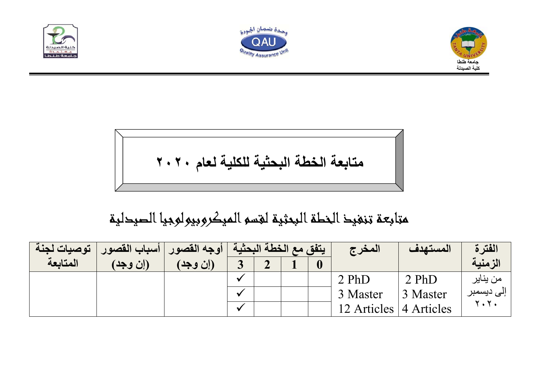





$$
\begin{array}{c}\n\bullet \\
\hline\n\end{array}
$$

متابعة تنفيذالخطةالبحثية لقسمالميكروبيولوجياالصيدلية

| توصيات لجنة | أسباب القصور | أوجه القصور | / يتفق مع الخطة البحثية ، |  | المغرج                   | المستهدف | الفترة      |
|-------------|--------------|-------------|---------------------------|--|--------------------------|----------|-------------|
| المتابعة    | (إن وجد)     | (إن وجد)    |                           |  |                          |          | الزمنية     |
|             |              |             |                           |  | 2 PhD                    | 2 PhD    | من يناير    |
|             |              |             |                           |  | 3 Master                 | 3 Master | إلى ديسمبر  |
|             |              |             |                           |  | 12 Articles   4 Articles |          | <b>Y.Y.</b> |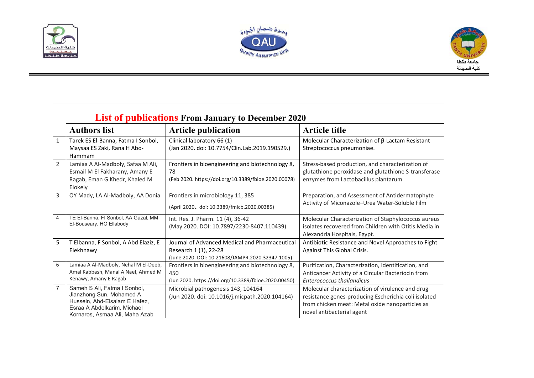





|                | <b>List of publications From January to December 2020</b>                                                                                                  |                                                                                                                             |                                                                                                                                                                                          |  |  |
|----------------|------------------------------------------------------------------------------------------------------------------------------------------------------------|-----------------------------------------------------------------------------------------------------------------------------|------------------------------------------------------------------------------------------------------------------------------------------------------------------------------------------|--|--|
|                | <b>Authors list</b>                                                                                                                                        | <b>Article publication</b>                                                                                                  | <b>Article title</b>                                                                                                                                                                     |  |  |
| $\mathbf{1}$   | Tarek ES El-Banna, Fatma I Sonbol,<br>Maysaa ES Zaki, Rana H Abo-<br>Hammam                                                                                | Clinical laboratory 66 (1)<br>(Jan 2020. doi: 10.7754/Clin.Lab.2019.190529.)                                                | Molecular Characterization of β-Lactam Resistant<br>Streptococcus pneumoniae.                                                                                                            |  |  |
| $\overline{2}$ | Lamiaa A Al-Madboly, Safaa M Ali,<br>Esmail M El Fakharany, Amany E<br>Ragab, Eman G Khedr, Khaled M<br>Elokely                                            | Frontiers in bioengineering and biotechnology 8,<br>78<br>(Feb 2020. https://doi.org/10.3389/fbioe.2020.00078)              | Stress-based production, and characterization of<br>glutathione peroxidase and glutathione S-transferase<br>enzymes from Lactobacillus plantarum                                         |  |  |
| 3              | OY Mady, LA Al-Madboly, AA Donia                                                                                                                           | Frontiers in microbiology 11, 385<br>(April 2020. doi: 10.3389/fmicb.2020.00385)                                            | Preparation, and Assessment of Antidermatophyte<br>Activity of Miconazole-Urea Water-Soluble Film                                                                                        |  |  |
| $\overline{4}$ | TE El-Banna, FI Sonbol, AA Gazal, MM<br>El-Bouseary, HO Ellabody                                                                                           | Int. Res. J. Pharm. 11 (4), 36-42<br>(May 2020. DOI: 10.7897/2230-8407.110439)                                              | Molecular Characterization of Staphylococcus aureus<br>isolates recovered from Children with Otitis Media in<br>Alexandria Hospitals, Egypt.                                             |  |  |
| 5              | T Elbanna, F Sonbol, A Abd Elaziz, E<br>Elekhnawy                                                                                                          | Journal of Advanced Medical and Pharmaceutical<br>Research 1 (1), 22-28<br>(June 2020. DOI: 10.21608/JAMPR.2020.32347.1005) | Antibiotic Resistance and Novel Approaches to Fight<br>Against This Global Crisis.                                                                                                       |  |  |
| 6              | Lamiaa A Al-Madboly, Nehal M El-Deeb,<br>Amal Kabbash, Manal A Nael, Ahmed M<br>Kenawy, Amany E Ragab                                                      | Frontiers in bioengineering and biotechnology 8,<br>450<br>(Jun 2020. https://doi.org/10.3389/fbioe.2020.00450)             | Purification, Characterization, Identification, and<br>Anticancer Activity of a Circular Bacteriocin from<br><b>Enterococcus thailandicus</b>                                            |  |  |
| $\overline{7}$ | Sameh S Ali, Fatma I Sonbol,<br>Jianzhong Sun, Mohamed A<br>Hussein, Abd-Elsalam E Hafez,<br>Esraa A Abdelkarim, Michael<br>Kornaros, Asmaa Ali, Maha Azab | Microbial pathogenesis 143, 104164<br>(Jun 2020. doi: 10.1016/j.micpath.2020.104164)                                        | Molecular characterization of virulence and drug<br>resistance genes-producing Escherichia coli isolated<br>from chicken meat: Metal oxide nanoparticles as<br>novel antibacterial agent |  |  |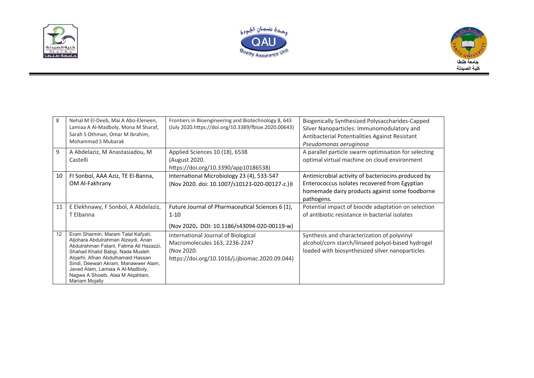





| 8  | Nehal M El-Deeb, Mai A Abo-Eleneen,<br>Lamiaa A Al-Madboly, Mona M Sharaf,<br>Sarah S Othman, Omar M Ibrahim,<br><b>Mohammad S Mubarak</b> | Frontiers in Bioengineering and Biotechnology 8, 643<br>(July 2020.https://doi.org/10.3389/fbioe.2020.00643) | Biogenically Synthesized Polysaccharides-Capped<br>Silver Nanoparticles: Immunomodulatory and<br>Antibacterial Potentialities Against Resistant<br>Pseudomonas aeruginosa |
|----|--------------------------------------------------------------------------------------------------------------------------------------------|--------------------------------------------------------------------------------------------------------------|---------------------------------------------------------------------------------------------------------------------------------------------------------------------------|
| 9  | A Abdelaziz, M Anastasiadou, M                                                                                                             | Applied Sciences 10 (18), 6538                                                                               | A parallel particle swarm optimisation for selecting                                                                                                                      |
|    | Castelli                                                                                                                                   | (August 2020.                                                                                                | optimal virtual machine on cloud environment                                                                                                                              |
|    |                                                                                                                                            | https://doi.org/10.3390/app10186538)                                                                         |                                                                                                                                                                           |
| 10 | FI Sonbol, AAA Aziz, TE El-Banna,                                                                                                          | International Microbiology 23 (4), 533-547                                                                   | Antimicrobial activity of bacteriocins produced by                                                                                                                        |
|    | OM Al-Fakhrany                                                                                                                             | (Nov 2020. doi: 10.1007/s10123-020-00127-z.)#                                                                | Enterococcus isolates recovered from Egyptian                                                                                                                             |
|    |                                                                                                                                            |                                                                                                              | homemade dairy products against some foodborne                                                                                                                            |
|    |                                                                                                                                            |                                                                                                              | pathogens.                                                                                                                                                                |
| 11 | E Elekhnawy, F Sonbol, A Abdelaziz,                                                                                                        | Future Journal of Pharmaceutical Sciences 6 (1),                                                             | Potential impact of biocide adaptation on selection                                                                                                                       |
|    | T Elbanna                                                                                                                                  | $1 - 10$                                                                                                     | of antibiotic resistance in bacterial isolates                                                                                                                            |
|    |                                                                                                                                            | (Nov 2020. DOI: 10.1186/s43094-020-00119-w)                                                                  |                                                                                                                                                                           |
| 12 | Eram Sharmin, Maram Talal Kafyah,                                                                                                          | International Journal of Biological                                                                          | Synthesis and characterization of polyvinyl                                                                                                                               |
|    | Aljohara Abdulrahman Alzaydi, Anan<br>Abdulrahman Fatani, Fatima Ali Hazazzi,                                                              | Macromolecules 163, 2236-2247                                                                                | alcohol/corn starch/linseed polyol-based hydrogel                                                                                                                         |
|    | Shahad Khalid Babgi, Nada Musleh                                                                                                           | (Nov 2020.                                                                                                   | loaded with biosynthesized silver nanoparticles                                                                                                                           |
|    | Algarhi, Afnan Abdulhamaid Hassan                                                                                                          | https://doi.org/10.1016/j.ijbiomac.2020.09.044)                                                              |                                                                                                                                                                           |
|    | Sindi, Deewan Akram, Manawwer Alam,<br>Javed Alam, Lamiaa A Al-Madboly,                                                                    |                                                                                                              |                                                                                                                                                                           |
|    | Nagwa A Shoeib, Alaa M Alqahtani,                                                                                                          |                                                                                                              |                                                                                                                                                                           |
|    | Mariam Mojally                                                                                                                             |                                                                                                              |                                                                                                                                                                           |